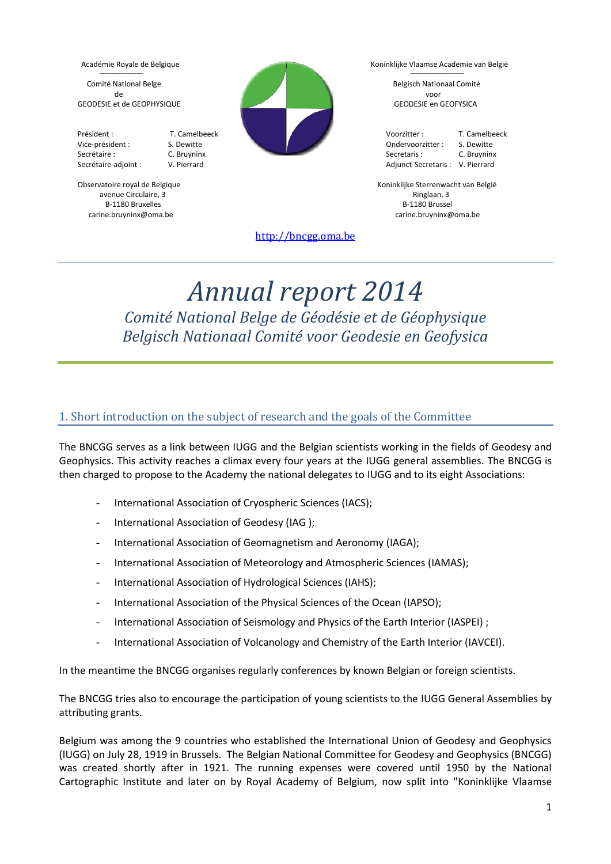$\mathcal{L}=\mathcal{L}=\mathcal{L}=\mathcal{L}=\mathcal{L}=\mathcal{L}=\mathcal{L}=\mathcal{L}=\mathcal{L}=\mathcal{L}=\mathcal{L}=\mathcal{L}=\mathcal{L}=\mathcal{L}=\mathcal{L}=\mathcal{L}=\mathcal{L}=\mathcal{L}=\mathcal{L}=\mathcal{L}=\mathcal{L}=\mathcal{L}=\mathcal{L}=\mathcal{L}=\mathcal{L}=\mathcal{L}=\mathcal{L}=\mathcal{L}=\mathcal{L}=\mathcal{L}=\mathcal{L}=\mathcal{L}=\mathcal{L}=\mathcal{L}=\mathcal{L}=\mathcal{L}=\mathcal{$ 

avenue Circulaire, 3 and 3 Ringlaan, 3 and 3 Ringlaan, 3 and 3 Ringlaan, 3 and 3 Ringlaan, 3 and 3 Ringlaan, 3 B-1180 Bruxelles B-1180 Brusselles B-1180 Brusselles B-1180 Brusselles B-1180 Brusselles B-1180 Brusselles B-1



Académie Royale de Belgique National Register Metal de België Koninklijke Vlaamse Academie van België  $\mathcal{L}=\mathcal{L}=\mathcal{L}=\mathcal{L}=\mathcal{L}=\mathcal{L}=\mathcal{L}=\mathcal{L}=\mathcal{L}=\mathcal{L}=\mathcal{L}=\mathcal{L}=\mathcal{L}=\mathcal{L}=\mathcal{L}=\mathcal{L}=\mathcal{L}=\mathcal{L}=\mathcal{L}=\mathcal{L}=\mathcal{L}=\mathcal{L}=\mathcal{L}=\mathcal{L}=\mathcal{L}=\mathcal{L}=\mathcal{L}=\mathcal{L}=\mathcal{L}=\mathcal{L}=\mathcal{L}=\mathcal{L}=\mathcal{L}=\mathcal{L}=\mathcal{L}=\mathcal{L}=\mathcal{$ 

Observatoire royal de Belgique November 1999 and Schwarzen and Schwarzenwacht van België carine.bruyninx@oma.be carine.bruyninx@oma.be

[http://bncgg.oma.be](http://bncgg.oma.be/)

# *Annual report 2014 Comité National Belge de Géodésie et de Géophysique Belgisch Nationaal Comité voor Geodesie en Geofysica*

# 1. Short introduction on the subject of research and the goals of the Committee

The BNCGG serves as a link between IUGG and the Belgian scientists working in the fields of Geodesy and Geophysics. This activity reaches a climax every four years at the IUGG general assemblies. The BNCGG is then charged to propose to the Academy the national delegates to IUGG and to its eight Associations:

- International Association of Cryospheric Sciences (IACS);
- International Association of Geodesy (IAG );
- International Association of Geomagnetism and Aeronomy (IAGA);
- International Association of Meteorology and Atmospheric Sciences (IAMAS);
- International Association of Hydrological Sciences (IAHS);
- International Association of the Physical Sciences of the Ocean (IAPSO);
- International Association of Seismology and Physics of the Earth Interior (IASPEI) ;
- International Association of Volcanology and Chemistry of the Earth Interior (IAVCEI).

In the meantime the BNCGG organises regularly conferences by known Belgian or foreign scientists.

The BNCGG tries also to encourage the participation of young scientists to the IUGG General Assemblies by attributing grants.

Belgium was among the 9 countries who established the International Union of Geodesy and Geophysics (IUGG) on July 28, 1919 in Brussels. The Belgian National Committee for Geodesy and Geophysics (BNCGG) was created shortly after in 1921. The running expenses were covered until 1950 by the National Cartographic Institute and later on by Royal Academy of Belgium, now split into "Koninklijke Vlaamse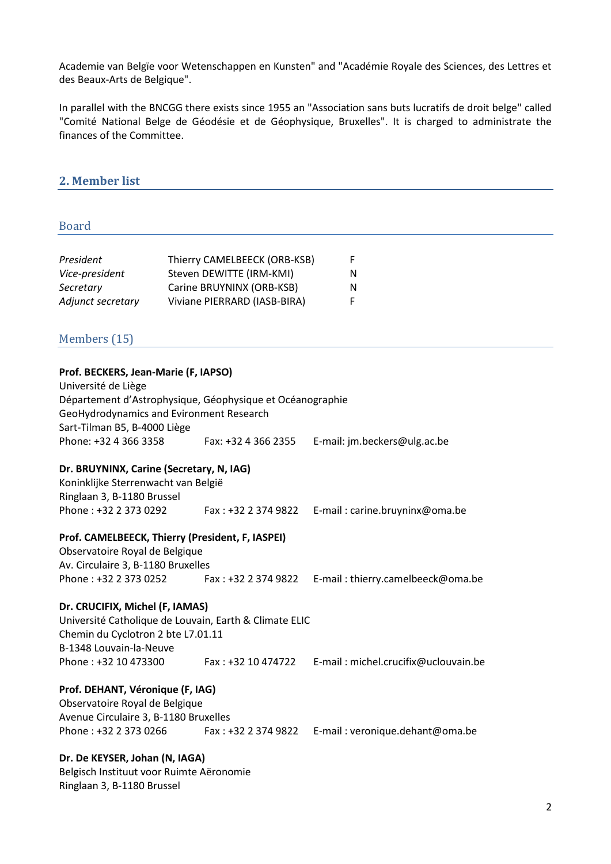Academie van Belgïe voor Wetenschappen en Kunsten" and "Académie Royale des Sciences, des Lettres et des Beaux-Arts de Belgique".

In parallel with the BNCGG there exists since 1955 an "Association sans buts lucratifs de droit belge" called "Comité National Belge de Géodésie et de Géophysique, Bruxelles". It is charged to administrate the finances of the Committee.

## **2. Member list**

#### Board

| President         | Thierry CAMELBEECK (ORB-KSB) | F. |
|-------------------|------------------------------|----|
| Vice-president    | Steven DEWITTE (IRM-KMI)     | N  |
| Secretary         | Carine BRUYNINX (ORB-KSB)    | N  |
| Adjunct secretary | Viviane PIERRARD (IASB-BIRA) | F. |

# Members (15)

#### **Prof. BECKERS, Jean-Marie (F, IAPSO)**

| Département d'Astrophysique, Géophysique et Océanographie |                              |
|-----------------------------------------------------------|------------------------------|
| GeoHydrodynamics and Evironment Research                  |                              |
|                                                           |                              |
| Fax: +32 4 366 2355                                       | E-mail: jm.beckers@ulg.ac.be |
|                                                           |                              |

#### **Dr. BRUYNINX, Carine (Secretary, N, IAG)**

Koninklijke Sterrenwacht van België Ringlaan 3, B-1180 Brussel Phone : +32 2 373 0292 Fax : +32 2 374 9822 E-mail : carine.bruyninx@oma.be

#### **Prof. CAMELBEECK, Thierry (President, F, IASPEI)**

Observatoire Royal de Belgique Av. Circulaire 3, B-1180 Bruxelles Phone : +32 2 373 0252 Fax : +32 2 374 9822 E-mail : thierry.camelbeeck@oma.be

#### **Dr. CRUCIFIX, Michel (F, IAMAS)**

Université Catholique de Louvain, Earth & Climate ELIC Chemin du Cyclotron 2 bte L7.01.11 B-1348 Louvain-la-Neuve Phone : +32 10 473300 Fax : +32 10 474722 E-mail : michel.crucifix@uclouvain.be

#### **Prof. DEHANT, Véronique (F, IAG)**

Observatoire Royal de Belgique Avenue Circulaire 3, B-1180 Bruxelles Phone : +32 2 373 0266 Fax : +32 2 374 9822 E-mail : veronique.dehant@oma.be

#### **Dr. De KEYSER, Johan (N, IAGA)**

Belgisch Instituut voor Ruimte Aëronomie Ringlaan 3, B-1180 Brussel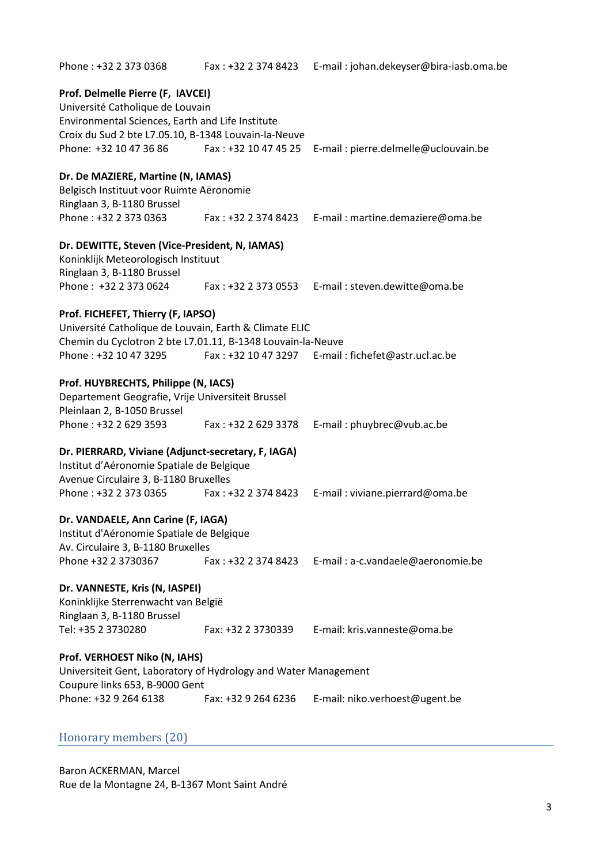Phone : +32 2 373 0368 Fax : +32 2 374 8423 E-mail : johan.dekeyser@bira-iasb.oma.be **Prof. Delmelle Pierre (F, IAVCEI)** Université Catholique de Louvain Environmental Sciences, Earth and Life Institute Croix du Sud 2 bte L7.05.10, B-1348 Louvain-la-Neuve Phone: +32 10 47 36 86 Fax : +32 10 47 45 25 E-mail : pierre.delmelle@uclouvain.be **Dr. De MAZIERE, Martine (N, IAMAS)** Belgisch Instituut voor Ruimte Aëronomie Ringlaan 3, B-1180 Brussel Phone : +32 2 373 0363 Fax : +32 2 374 8423 E-mail : martine.demaziere@oma.be **Dr. DEWITTE, Steven (Vice-President, N, IAMAS)** Koninklijk Meteorologisch Instituut Ringlaan 3, B-1180 Brussel Phone : +32 2 373 0624 Fax : +32 2 373 0553 E-mail : steven.dewitte@oma.be **Prof. FICHEFET, Thierry (F, IAPSO)**  Université Catholique de Louvain, Earth & Climate ELIC Chemin du Cyclotron 2 bte L7.01.11, B-1348 Louvain-la-Neuve Phone : +32 10 47 3295 Fax : +32 10 47 3297 E-mail : fichefet@astr.ucl.ac.be **Prof. HUYBRECHTS, Philippe (N, IACS)** Departement Geografie, Vrije Universiteit Brussel Pleinlaan 2, B-1050 Brussel Phone : +32 2 629 3593 Fax : +32 2 629 3378 E-mail : phuybrec@vub.ac.be **Dr. PIERRARD, Viviane (Adjunct-secretary, F, IAGA)** Institut d'Aéronomie Spatiale de Belgique Avenue Circulaire 3, B-1180 Bruxelles Phone : +32 2 373 0365 Fax : +32 2 374 8423 E-mail : viviane.pierrard@oma.be **Dr. VANDAELE, Ann Carine (F, IAGA)** Institut d'Aéronomie Spatiale de Belgique Av. Circulaire 3, B-1180 Bruxelles Phone +32 2 3730367 Fax : +32 2 374 8423 E-mail : a-c.vandaele@aeronomie.be **Dr. VANNESTE, Kris (N, IASPEI)** Koninklijke Sterrenwacht van België Ringlaan 3, B-1180 Brussel Tel: +35 2 3730280 Fax: +32 2 3730339 E-mail: kris.vanneste@oma.be **Prof. VERHOEST Niko (N, IAHS)** Universiteit Gent, Laboratory of Hydrology and Water Management Coupure links 653, B-9000 Gent Phone: +32 9 264 6138 Fax: +32 9 264 6236 E-mail: niko.verhoest@ugent.be

# Honorary members (20)

Baron ACKERMAN, Marcel Rue de la Montagne 24, B-1367 Mont Saint André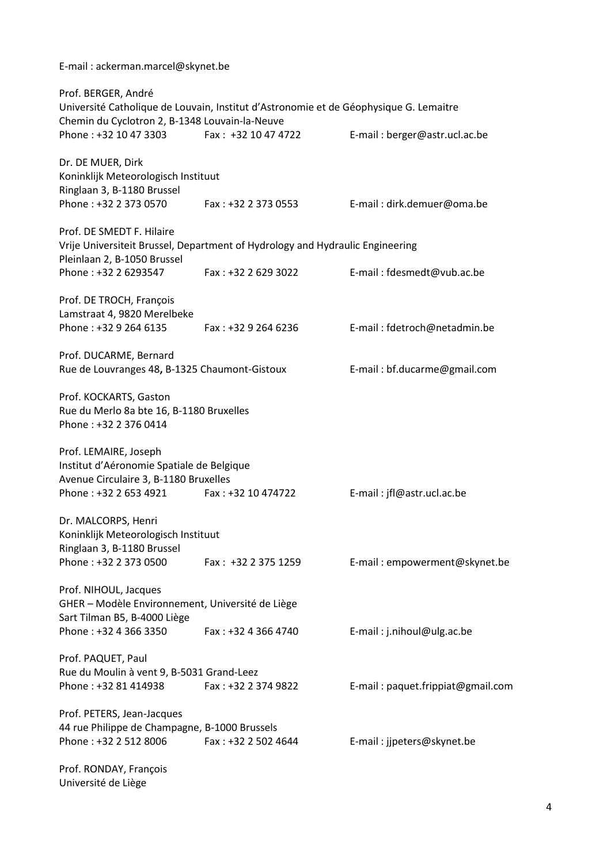E-mail : ackerman.marcel@skynet.be

| Prof. BERGER, André<br>Chemin du Cyclotron 2, B-1348 Louvain-la-Neuve                                                                | Université Catholique de Louvain, Institut d'Astronomie et de Géophysique G. Lemaitre |                                   |
|--------------------------------------------------------------------------------------------------------------------------------------|---------------------------------------------------------------------------------------|-----------------------------------|
| Phone: +32 10 47 3303                                                                                                                | Fax: +32 10 47 4722                                                                   | E-mail: berger@astr.ucl.ac.be     |
| Dr. DE MUER, Dirk<br>Koninklijk Meteorologisch Instituut<br>Ringlaan 3, B-1180 Brussel                                               |                                                                                       |                                   |
| Phone: +32 2 373 0570                                                                                                                | Fax: +32 2 373 0553                                                                   | E-mail: dirk.demuer@oma.be        |
| Prof. DE SMEDT F. Hilaire<br>Pleinlaan 2, B-1050 Brussel                                                                             | Vrije Universiteit Brussel, Department of Hydrology and Hydraulic Engineering         |                                   |
| Phone: +32 2 6293547                                                                                                                 | Fax: +32 2 629 3022                                                                   | E-mail: fdesmedt@vub.ac.be        |
| Prof. DE TROCH, François<br>Lamstraat 4, 9820 Merelbeke<br>Phone: +32 9 264 6135                                                     | Fax: +32 9 264 6236                                                                   | E-mail: fdetroch@netadmin.be      |
| Prof. DUCARME, Bernard<br>Rue de Louvranges 48, B-1325 Chaumont-Gistoux                                                              |                                                                                       | E-mail: bf.ducarme@gmail.com      |
| Prof. KOCKARTS, Gaston<br>Rue du Merlo 8a bte 16, B-1180 Bruxelles<br>Phone: +32 2 376 0414                                          |                                                                                       |                                   |
| Prof. LEMAIRE, Joseph<br>Institut d'Aéronomie Spatiale de Belgique<br>Avenue Circulaire 3, B-1180 Bruxelles<br>Phone: +32 2 653 4921 | Fax: +32 10 474722                                                                    | E-mail: jfl@astr.ucl.ac.be        |
| Dr. MALCORPS, Henri<br>Koninklijk Meteorologisch Instituut<br>Ringlaan 3, B-1180 Brussel<br>Phone: +32 2 373 0500                    | Fax: $+32$ 2 375 1259                                                                 | E-mail: empowerment@skynet.be     |
| Prof. NIHOUL, Jacques<br>GHER - Modèle Environnement, Université de Liège<br>Sart Tilman B5, B-4000 Liège                            |                                                                                       |                                   |
| Phone: +32 4 366 3350                                                                                                                | Fax: +32 4 366 4740                                                                   | E-mail: j.nihoul@ulg.ac.be        |
| Prof. PAQUET, Paul<br>Rue du Moulin à vent 9, B-5031 Grand-Leez<br>Phone: +32 81 414938                                              | Fax: +32 2 374 9822                                                                   | E-mail: paquet.frippiat@gmail.com |
| Prof. PETERS, Jean-Jacques<br>44 rue Philippe de Champagne, B-1000 Brussels<br>Phone: +32 2 512 8006                                 | Fax: +32 2 502 4644                                                                   | E-mail: jjpeters@skynet.be        |
| Prof. RONDAY, François<br>Université de Liège                                                                                        |                                                                                       |                                   |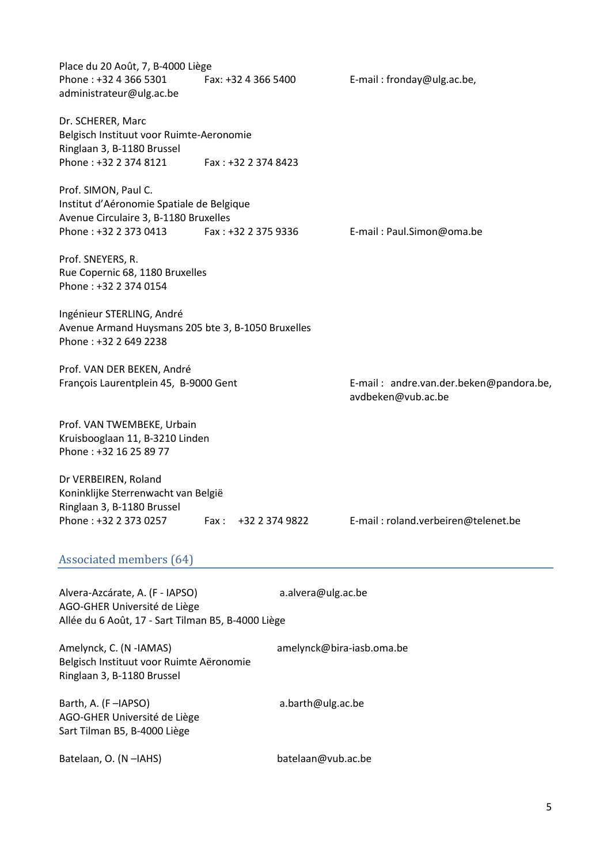| Place du 20 Août, 7, B-4000 Liège<br>Phone: +32 4 366 5301<br>administrateur@ulg.ac.be                                                      | Fax: +32 4 366 5400 |                           | E-mail: fronday@ulg.ac.be,                                    |  |
|---------------------------------------------------------------------------------------------------------------------------------------------|---------------------|---------------------------|---------------------------------------------------------------|--|
| Dr. SCHERER, Marc<br>Belgisch Instituut voor Ruimte-Aeronomie<br>Ringlaan 3, B-1180 Brussel<br>Phone: +32 2 374 8121                        | Fax: +32 2 374 8423 |                           |                                                               |  |
| Prof. SIMON, Paul C.<br>Institut d'Aéronomie Spatiale de Belgique<br>Avenue Circulaire 3, B-1180 Bruxelles<br>Phone: +32 2 373 0413         | Fax: +32 2 375 9336 |                           | E-mail: Paul.Simon@oma.be                                     |  |
| Prof. SNEYERS, R.<br>Rue Copernic 68, 1180 Bruxelles<br>Phone: +32 2 374 0154                                                               |                     |                           |                                                               |  |
| Ingénieur STERLING, André<br>Avenue Armand Huysmans 205 bte 3, B-1050 Bruxelles<br>Phone: +32 2 649 2238                                    |                     |                           |                                                               |  |
| Prof. VAN DER BEKEN, André<br>François Laurentplein 45, B-9000 Gent                                                                         |                     |                           | E-mail: andre.van.der.beken@pandora.be,<br>avdbeken@vub.ac.be |  |
| Prof. VAN TWEMBEKE, Urbain<br>Kruisbooglaan 11, B-3210 Linden<br>Phone: +32 16 25 89 77                                                     |                     |                           |                                                               |  |
| Dr VERBEIREN, Roland<br>Koninklijke Sterrenwacht van België<br>Ringlaan 3, B-1180 Brussel<br>Phone: +32 2 373 0257                          | Fax:                | +32 2 374 9822            | E-mail: roland.verbeiren@telenet.be                           |  |
| <b>Associated members (64)</b>                                                                                                              |                     |                           |                                                               |  |
| Alvera-Azcárate, A. (F - IAPSO)<br>a.alvera@ulg.ac.be<br>AGO-GHER Université de Liège<br>Allée du 6 Août, 17 - Sart Tilman B5, B-4000 Liège |                     |                           |                                                               |  |
| Amelynck, C. (N -IAMAS)<br>Belgisch Instituut voor Ruimte Aëronomie<br>Ringlaan 3, B-1180 Brussel                                           |                     | amelynck@bira-iasb.oma.be |                                                               |  |
| Barth, A. (F-IAPSO)<br>AGO-GHER Université de Liège<br>Sart Tilman B5, B-4000 Liège                                                         |                     | a.barth@ulg.ac.be         |                                                               |  |

Batelaan, O. (N –IAHS) batelaan@vub.ac.be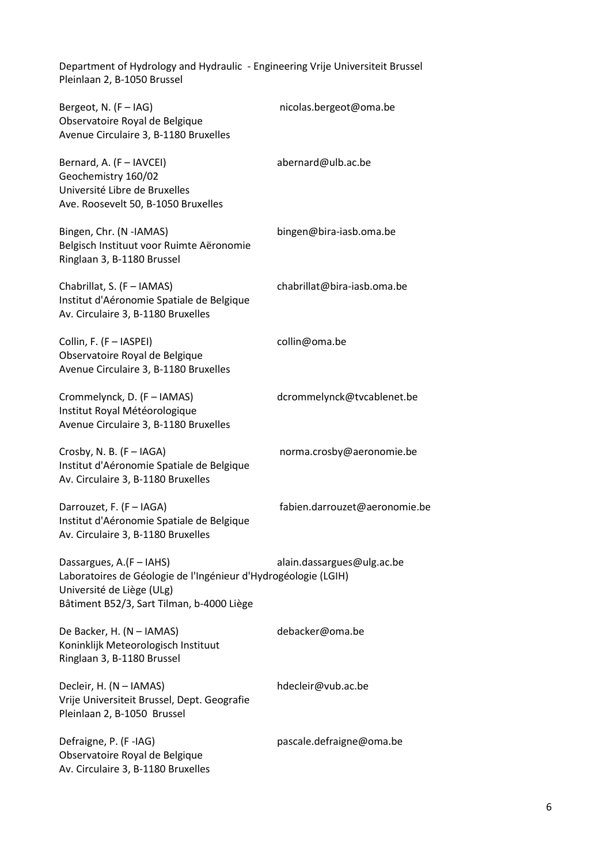Department of Hydrology and Hydraulic - Engineering Vrije Universiteit Brussel Pleinlaan 2, B-1050 Brussel

| Bergeot, N. (F - IAG)<br>Observatoire Royal de Belgique<br>Avenue Circulaire 3, B-1180 Bruxelles                                                                     | nicolas.bergeot@oma.be        |
|----------------------------------------------------------------------------------------------------------------------------------------------------------------------|-------------------------------|
| Bernard, A. (F - IAVCEI)<br>Geochemistry 160/02<br>Université Libre de Bruxelles<br>Ave. Roosevelt 50, B-1050 Bruxelles                                              | abernard@ulb.ac.be            |
| Bingen, Chr. (N -IAMAS)<br>Belgisch Instituut voor Ruimte Aëronomie<br>Ringlaan 3, B-1180 Brussel                                                                    | bingen@bira-iasb.oma.be       |
| Chabrillat, S. (F - IAMAS)<br>Institut d'Aéronomie Spatiale de Belgique<br>Av. Circulaire 3, B-1180 Bruxelles                                                        | chabrillat@bira-iasb.oma.be   |
| Collin, F. (F - IASPEI)<br>Observatoire Royal de Belgique<br>Avenue Circulaire 3, B-1180 Bruxelles                                                                   | collin@oma.be                 |
| Crommelynck, D. (F - IAMAS)<br>Institut Royal Météorologique<br>Avenue Circulaire 3, B-1180 Bruxelles                                                                | dcrommelynck@tvcablenet.be    |
| Crosby, N. B. $(F - IAGA)$<br>Institut d'Aéronomie Spatiale de Belgique<br>Av. Circulaire 3, B-1180 Bruxelles                                                        | norma.crosby@aeronomie.be     |
| Darrouzet, F. (F - IAGA)<br>Institut d'Aéronomie Spatiale de Belgique<br>Av. Circulaire 3, B-1180 Bruxelles                                                          | fabien.darrouzet@aeronomie.be |
| Dassargues, A.(F - IAHS)<br>Laboratoires de Géologie de l'Ingénieur d'Hydrogéologie (LGIH)<br>Université de Liège (ULg)<br>Bâtiment B52/3, Sart Tilman, b-4000 Liège | alain.dassargues@ulg.ac.be    |
| De Backer, H. (N - IAMAS)<br>Koninklijk Meteorologisch Instituut<br>Ringlaan 3, B-1180 Brussel                                                                       | debacker@oma.be               |
| Decleir, H. (N - IAMAS)<br>Vrije Universiteit Brussel, Dept. Geografie<br>Pleinlaan 2, B-1050 Brussel                                                                | hdecleir@vub.ac.be            |
| Defraigne, P. (F-IAG)<br>Observatoire Royal de Belgique<br>Av. Circulaire 3, B-1180 Bruxelles                                                                        | pascale.defraigne@oma.be      |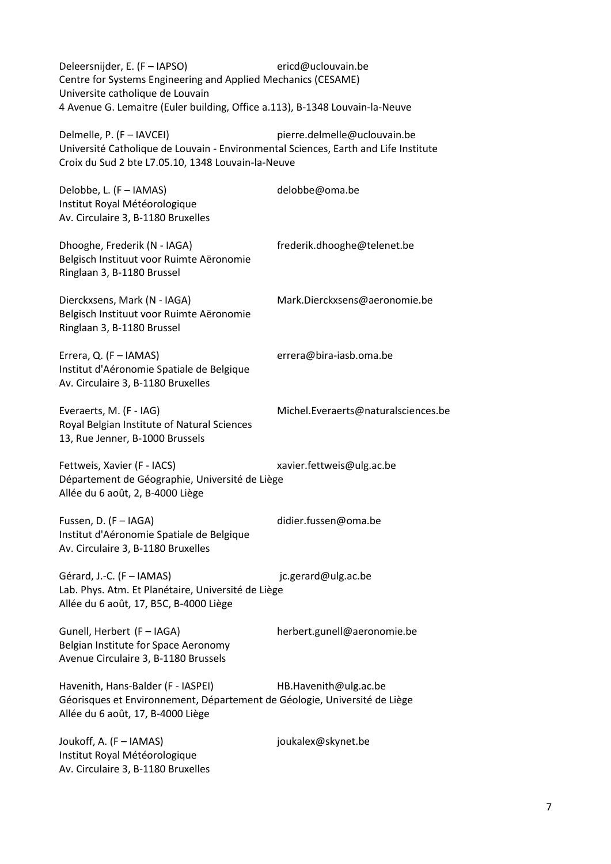Deleersnijder, E. (F – [IAPSO\)](http://www.iugg.org/iapso/) [ericd@uclouvain.be](mailto:ericd@uclouvain.be) Centre for Systems Engineering and Applied Mechanics (CESAME) Universite catholique de Louvain 4 Avenue G. Lemaitre (Euler building, Office a.113), B-1348 Louvain-la-Neuve

Delmelle, P. (F – IAVCEI) pierre.delmelle@uclouvain.be Université Catholique de Louvain - Environmental Sciences, Earth and Life Institute Croix du Sud 2 bte L7.05.10, 1348 Louvain-la-Neuve

Delobbe, L. (F – [IAMAS\)](http://www.iamas.org/) [delobbe@oma.be](mailto:delobbe@oma.be) Institut Royal Météorologique Av. Circulaire 3, B-1180 Bruxelles Dhooghe, Frederik (N - IAGA) frederik.dhooghe@telenet.be Belgisch Instituut voor Ruimte Aëronomie Ringlaan 3, B-1180 Brussel Dierckxsens, Mark (N - IAGA) Mark.Dierckxsens@aeronomie.be Belgisch Instituut voor Ruimte Aëronomie Ringlaan 3, B-1180 Brussel Errera, Q. (F – [IAMAS\)](http://www.iamas.org/) [errera@bira-iasb.oma.be](mailto:errera@bira-iasb.oma.be) Institut d'Aéronomie Spatiale de Belgique Av. Circulaire 3, B-1180 Bruxelles Everaerts, M. (F - [IAG\)](http://www.iag-aig.org/) Michel.Everaerts@naturalsciences.be Royal Belgian Institute of Natural Sciences 13, Rue Jenner, B-1000 Brussels Fettweis, Xavier (F - IACS) xavier.fettweis@ulg.ac.be Département de Géographie, Université de Liège Allée du 6 août, 2, B-4000 Liège Fussen, D. (F – [IAGA\)](http://www.iugg.org/IAGA) [didier.fussen@oma.be](mailto:didier.fussen@oma.be) Institut d'Aéronomie Spatiale de Belgique Av. Circulaire 3, B-1180 Bruxelles Gérard, J.-C. (F – [IAMAS\)](http://www.iamas.org/) ic.gerard@ulg.ac.be Lab. Phys. Atm. Et Planétaire, Université de Liège Allée du 6 août, 17, B5C, B-4000 Liège Gunell, Herbert (F – IAGA) herbert.gunell@aeronomie.be Belgian Institute for Space Aeronomy Avenue Circulaire 3, B-1180 Brussels Havenith, Hans-Balder (F - IASPEI) HB.Havenith@ulg.ac.be Géorisques et Environnement, Département de Géologie, Université de Liège Allée du 6 août, 17, B-4000 Liège Joukoff, A. (F – [IAMAS\)](http://www.iamas.org/) [joukalex@skynet.be](mailto:joukalex@skynet.be)  Institut Royal Météorologique Av. Circulaire 3, B-1180 Bruxelles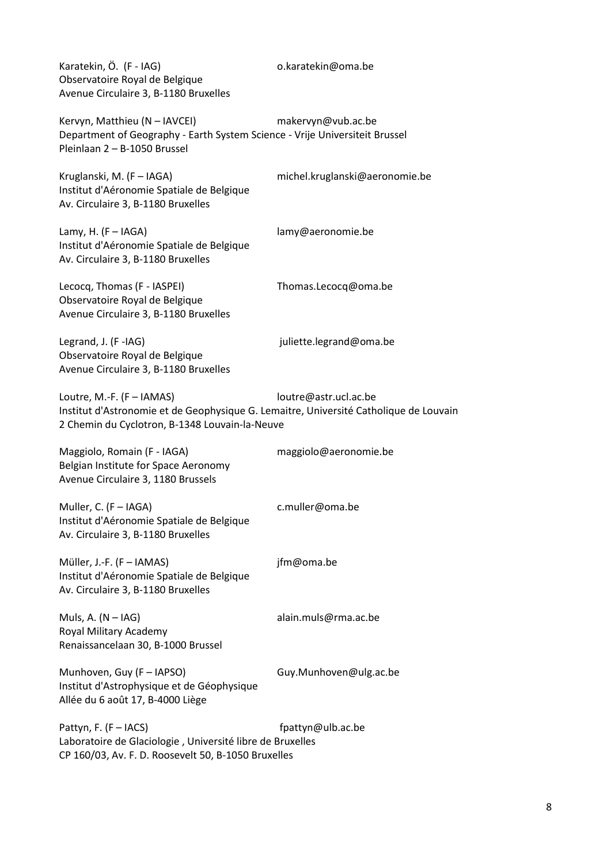Karatekin, Ö. (F - IAG) o.karatekin@oma.be Observatoire Royal de Belgique Avenue Circulaire 3, B-1180 Bruxelles

Kervyn, Matthieu (N – IAVCEI) makervyn@vub.ac.be Department of Geography - Earth System Science - Vrije Universiteit Brussel Pleinlaan 2 – B-1050 Brussel

Kruglanski, M. (F – [IAGA\)](http://www.iugg.org/IAGA) [michel.kruglanski@aeronomie.be](mailto:michel.kruglanski@aeronomie.be) Institut d'Aéronomie Spatiale de Belgique Av. Circulaire 3, B-1180 Bruxelles

Lamy, H. (F – [IAGA\)](http://www.iugg.org/IAGA) [lamy@aeronomie.be](mail:lamy@aeronomie.be) Institut d'Aéronomie Spatiale de Belgique Av. Circulaire 3, B-1180 Bruxelles

Lecocq, Thomas (F - IASPEI) Thomas.Lecocq@oma.be Observatoire Royal de Belgique Avenue Circulaire 3, B-1180 Bruxelles

Legrand, J. (F[-IAG\)](http://www.iag-aig.org/) in the settle segment of the settle segment of the segment of the segment of the segment of the segment of the segment of the segment of the segment of the segment of the segment of the segment of the s Observatoire Royal de Belgique Avenue Circulaire 3, B-1180 Bruxelles

Loutre, M.-F. (F – [IAMAS\)](http://www.iamas.org/) [loutre@astr.ucl.ac.be](mailto:loutre@astr.ucl.ac.be) Institut d'Astronomie et de Geophysique G. Lemaitre, Université Catholique de Louvain 2 Chemin du Cyclotron, B-1348 Louvain-la-Neuve

Maggiolo, Romain (F - IAGA) maggiolo@aeronomie.be Belgian Institute for Space Aeronomy Avenue Circulaire 3, 1180 Brussels

Muller, C. (F – [IAGA\)](http://www.iugg.org/IAGA) [c.muller@oma.be](mailto:c.muller@oma.be) Institut d'Aéronomie Spatiale de Belgique

Av. Circulaire 3, B-1180 Bruxelles

Müller, J.-F. (F – [IAMAS\)](http://www.iamas.org/) ifm@oma.be Institut d'Aéronomie Spatiale de Belgique Av. Circulaire 3, B-1180 Bruxelles

Muls, A. (N – [IAG\)](http://www.iag-aig.org/) [alain.muls@rma.ac.be](mailto:alain.muls@rma.ac.be) Royal Military Academy Renaissancelaan 30, B-1000 Brussel

Munhoven, Guy (F – IAPSO) Guy.Munhoven@ulg.ac.be Institut d'Astrophysique et de Géophysique Allée du 6 août 17, B-4000 Liège

Pattyn, F. (F – IACS) and the state of the fractyne of fractyne of the state of the state of the fraction of the state of the state of the state of the state of the state of the state of the state of the state of the state Laboratoire de Glaciologie , Université libre de Bruxelles CP 160/03, Av. F. D. Roosevelt 50, B-1050 Bruxelles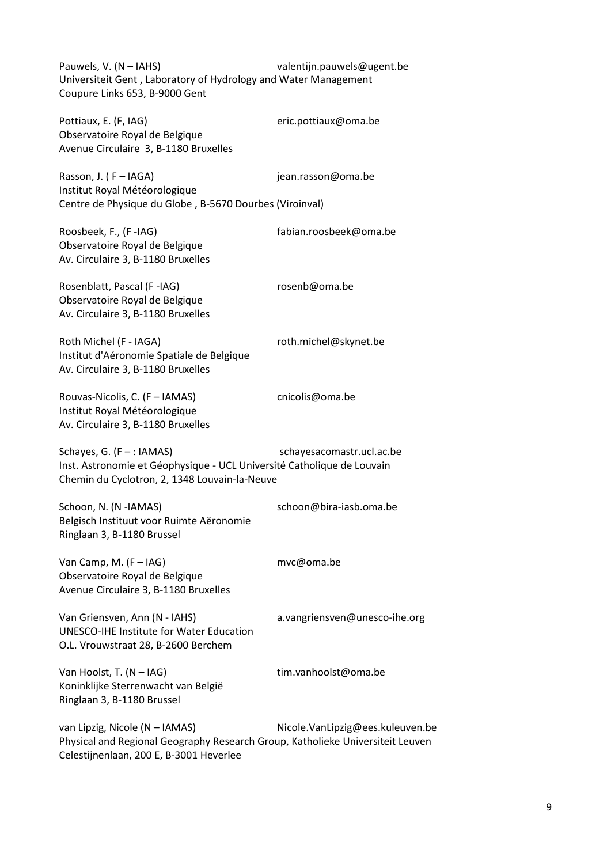Pauwels, V. (N – [IAHS\)](http://www.cig.ensmp.fr/~iahs/) [valentijn.pauwels@ugent.be](mailto:valentijn.pauwels@ugent.be) Universiteit Gent , Laboratory of Hydrology and Water Management Coupure Links 653, B-9000 Gent

Pottiaux, E. (F. IAG) eric.pottiaux@oma.be Observatoire Royal de Belgique Avenue Circulaire 3, B-1180 Bruxelles

Rasson, J. (F – [IAGA\)](http://www.iugg.org/IAGA) iean.rasson@oma.be Institut Royal Météorologique Centre de Physique du Globe , B-5670 Dourbes (Viroinval)

Roosbeek, F., (F[-IAG\)](http://www.iag-aig.org/) [fabian.roosbeek@oma.be](mailto:fabian.roosbeek@oma.be) Observatoire Royal de Belgique Av. Circulaire 3, B-1180 Bruxelles

Rosenblatt, Pascal (F[-IAG\)](http://www.iag-aig.org/) [rosenb@oma.be](mailto:rosenb@oma.be) Observatoire Royal de Belgique Av. Circulaire 3, B-1180 Bruxelles

Roth Michel (F - IAGA) roth.michel@skynet.be Institut d'Aéronomie Spatiale de Belgique Av. Circulaire 3, B-1180 Bruxelles

Rouvas-Nicolis, C. (F – [IAMAS\)](http://www.iamas.org/) [cnicolis@oma.be](mailto:cnicolis@oma.be) Institut Royal Météorologique Av. Circulaire 3, B-1180 Bruxelles

Schayes, G. (F – : IAMAS) schayesacomastr.ucl.ac.be

Inst. Astronomie et Géophysique - UCL Université Catholique de Louvain Chemin du Cyclotron, 2, 1348 Louvain-la-Neuve

Schoon, N. (N [-IAMAS\)](http://www.iamas.org/) schoon@bira-iasb.oma.be Belgisch Instituut voor Ruimte Aëronomie Ringlaan 3, B-1180 Brussel

Van Camp, M. (F – [IAG\)](http://www.iag-aig.org/) [mvc@oma.be](mailto:mvc@oma.be) Observatoire Royal de Belgique Avenue Circulaire 3, B-1180 Bruxelles

Van Griensven, Ann (N - IAHS) a.vangriensven@unesco-ihe.org

UNESCO-IHE Institute for Water Education O.L. Vrouwstraat 28, B-2600 Berchem

Van Hoolst, T. (N – [IAG\)](http://www.iag-aig.org/) [tim.vanhoolst@oma.be](mailto:tim.vanhoolst@oma.be) Koninklijke Sterrenwacht van België Ringlaan 3, B-1180 Brussel

van Lipzig, Nicole (N – IAMAS) Nicole.VanLipzig@ees.kuleuven.be Physical and Regional Geography Research Group, Katholieke Universiteit Leuven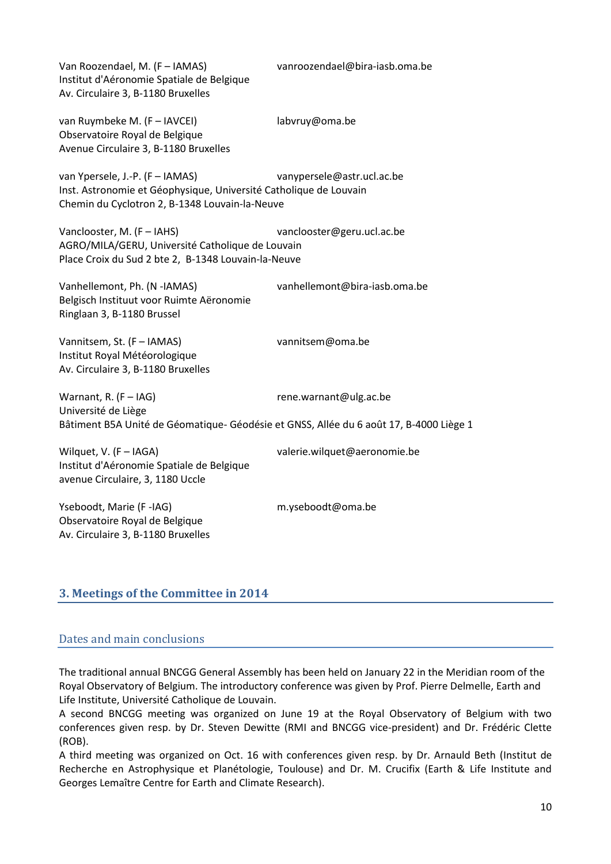Van Roozendael, M. (F – [IAMAS\)](http://www.iamas.org/) [vanroozendael@bira-iasb.oma.be](mailto:vanroozendael@bira-iasb.oma.be) Institut d'Aéronomie Spatiale de Belgique Av. Circulaire 3, B-1180 Bruxelles

van Ruymbeke M. (F – [IAVCEI\)](http://www.iavcei.org/) [labvruy@oma.be](mailto:labvruy@oma.be) Observatoire Royal de Belgique Avenue Circulaire 3, B-1180 Bruxelles

van Ypersele, J.-P. (F – [IAMAS\)](http://www.iamas.org/) [vanypersele@astr.ucl.ac.be](mailto:vanypersele@astr.ucl.ac.be) Inst. Astronomie et Géophysique, Université Catholique de Louvain Chemin du Cyclotron 2, B-1348 Louvain-la-Neuve

Vanclooster, M. (F – [IAHS\)](http://www.cig.ensmp.fr/~iahs/) [vanclooster@geru.ucl.ac.be](mailto:vanclooster@geru.ucl.ac.be) AGRO/MILA/GERU, Université Catholique de Louvain Place Croix du Sud 2 bte 2, B-1348 Louvain-la-Neuve

Vanhellemont, Ph. (N [-IAMAS\)](http://www.iamas.org/) [vanhellemont@bira-iasb.oma.be](mailto:vanhellemont@bira-iasb.oma.be)  Belgisch Instituut voor Ruimte Aëronomie Ringlaan 3, B-1180 Brussel

Vannitsem, St. (F – [IAMAS\)](http://www.iamas.org/) [vannitsem@oma.be](mailto:vannitsem@oma.be) Institut Royal Météorologique Av. Circulaire 3, B-1180 Bruxelles

Warnant, R. (F – [IAG\)](http://www.iag-aig.org/) [rene.warnant@ulg.ac.be](mailto:rene.warnant@ulg.ac.be) Université de Liège Bâtiment B5A Unité de Géomatique- Géodésie et GNSS, Allée du 6 août 17, B-4000 Liège 1

Wilquet, V. (F – IAGA) valerie.wilquet@aeronomie.be Institut d'Aéronomie Spatiale de Belgique avenue Circulaire, 3, 1180 Uccle

Yseboodt, Marie (F[-IAG\)](http://www.iag-aig.org/) [m.yseboodt@oma.be](mailto:m.yseboodt@oma.be) Observatoire Royal de Belgique Av. Circulaire 3, B-1180 Bruxelles

# **3. Meetings of the Committee in 2014**

#### Dates and main conclusions

The traditional annual BNCGG General Assembly has been held on January 22 in the Meridian room of the Royal Observatory of Belgium. The introductory conference was given by Prof. Pierre Delmelle, Earth and Life Institute, Université Catholique de Louvain.

A second BNCGG meeting was organized on June 19 at the Royal Observatory of Belgium with two conferences given resp. by Dr. Steven Dewitte (RMI and BNCGG vice-president) and Dr. Frédéric Clette (ROB).

A third meeting was organized on Oct. 16 with conferences given resp. by Dr. Arnauld Beth (Institut de Recherche en Astrophysique et Planétologie, Toulouse) and Dr. M. Crucifix (Earth & Life Institute and Georges Lemaître Centre for Earth and Climate Research).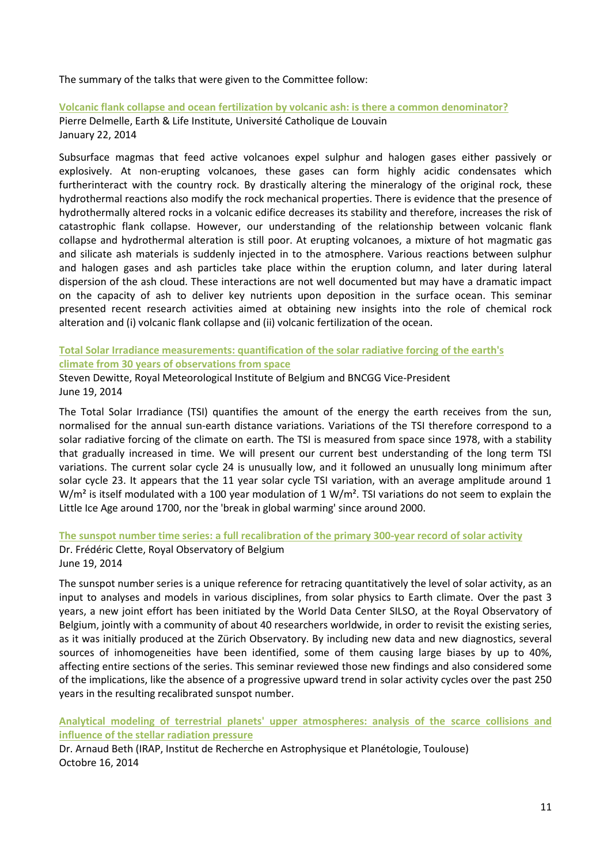The summary of the talks that were given to the Committee follow:

**Volcanic flank collapse and ocean fertilization by volcanic ash: is there a common denominator?** Pierre Delmelle, Earth & Life Institute, Université Catholique de Louvain January 22, 2014

Subsurface magmas that feed active volcanoes expel sulphur and halogen gases either passively or explosively. At non-erupting volcanoes, these gases can form highly acidic condensates which furtherinteract with the country rock. By drastically altering the mineralogy of the original rock, these hydrothermal reactions also modify the rock mechanical properties. There is evidence that the presence of hydrothermally altered rocks in a volcanic edifice decreases its stability and therefore, increases the risk of catastrophic flank collapse. However, our understanding of the relationship between volcanic flank collapse and hydrothermal alteration is still poor. At erupting volcanoes, a mixture of hot magmatic gas and silicate ash materials is suddenly injected in to the atmosphere. Various reactions between sulphur and halogen gases and ash particles take place within the eruption column, and later during lateral dispersion of the ash cloud. These interactions are not well documented but may have a dramatic impact on the capacity of ash to deliver key nutrients upon deposition in the surface ocean. This seminar presented recent research activities aimed at obtaining new insights into the role of chemical rock alteration and (i) volcanic flank collapse and (ii) volcanic fertilization of the ocean.

**Total Solar Irradiance measurements: quantification of the solar radiative forcing of the earth's climate from 30 years of observations from space**

Steven Dewitte, Royal Meteorological Institute of Belgium and BNCGG Vice-President June 19, 2014

The Total Solar Irradiance (TSI) quantifies the amount of the energy the earth receives from the sun, normalised for the annual sun-earth distance variations. Variations of the TSI therefore correspond to a solar radiative forcing of the climate on earth. The TSI is measured from space since 1978, with a stability that gradually increased in time. We will present our current best understanding of the long term TSI variations. The current solar cycle 24 is unusually low, and it followed an unusually long minimum after solar cycle 23. It appears that the 11 year solar cycle TSI variation, with an average amplitude around 1  $W/m<sup>2</sup>$  is itself modulated with a 100 year modulation of 1 W/m<sup>2</sup>. TSI variations do not seem to explain the Little Ice Age around 1700, nor the 'break in global warming' since around 2000.

**The sunspot number time series: a full recalibration of the primary 300-year record of solar activity**

Dr. Frédéric Clette, Royal Observatory of Belgium June 19, 2014

The sunspot number series is a unique reference for retracing quantitatively the level of solar activity, as an input to analyses and models in various disciplines, from solar physics to Earth climate. Over the past 3 years, a new joint effort has been initiated by the World Data Center SILSO, at the Royal Observatory of Belgium, jointly with a community of about 40 researchers worldwide, in order to revisit the existing series, as it was initially produced at the Zürich Observatory. By including new data and new diagnostics, several sources of inhomogeneities have been identified, some of them causing large biases by up to 40%, affecting entire sections of the series. This seminar reviewed those new findings and also considered some of the implications, like the absence of a progressive upward trend in solar activity cycles over the past 250 years in the resulting recalibrated sunspot number.

**Analytical modeling of terrestrial planets' upper atmospheres: analysis of the scarce collisions and influence of the stellar radiation pressure**

Dr. Arnaud Beth (IRAP, Institut de Recherche en Astrophysique et Planétologie, Toulouse) Octobre 16, 2014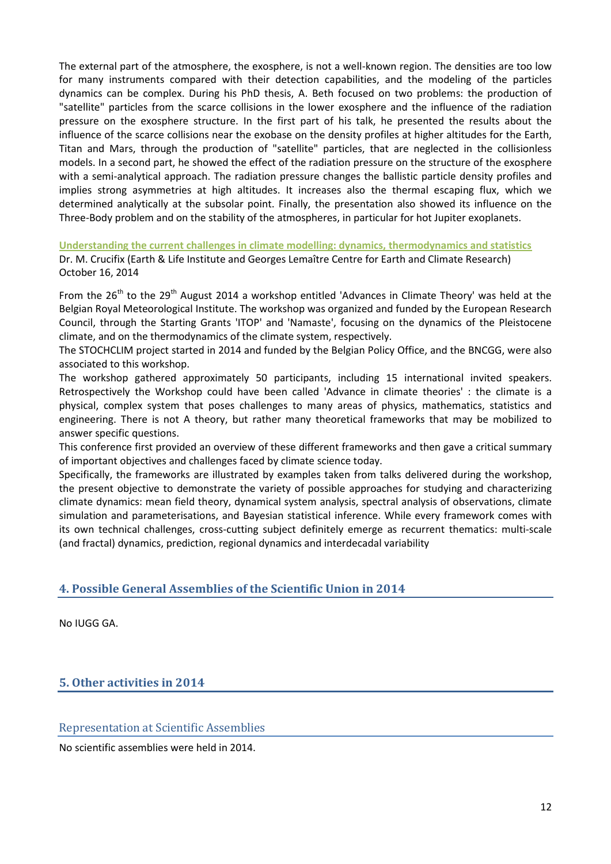The external part of the atmosphere, the exosphere, is not a well-known region. The densities are too low for many instruments compared with their detection capabilities, and the modeling of the particles dynamics can be complex. During his PhD thesis, A. Beth focused on two problems: the production of "satellite" particles from the scarce collisions in the lower exosphere and the influence of the radiation pressure on the exosphere structure. In the first part of his talk, he presented the results about the influence of the scarce collisions near the exobase on the density profiles at higher altitudes for the Earth, Titan and Mars, through the production of "satellite" particles, that are neglected in the collisionless models. In a second part, he showed the effect of the radiation pressure on the structure of the exosphere with a semi-analytical approach. The radiation pressure changes the ballistic particle density profiles and implies strong asymmetries at high altitudes. It increases also the thermal escaping flux, which we determined analytically at the subsolar point. Finally, the presentation also showed its influence on the Three-Body problem and on the stability of the atmospheres, in particular for hot Jupiter exoplanets.

**Understanding the current challenges in climate modelling: dynamics, thermodynamics and statistics** Dr. M. Crucifix (Earth & Life Institute and Georges Lemaître Centre for Earth and Climate Research) October 16, 2014

From the  $26<sup>th</sup>$  to the  $29<sup>th</sup>$  August 2014 a workshop entitled 'Advances in Climate Theory' was held at the Belgian Royal Meteorological Institute. The workshop was organized and funded by the European Research Council, through the Starting Grants 'ITOP' and 'Namaste', focusing on the dynamics of the Pleistocene climate, and on the thermodynamics of the climate system, respectively.

The STOCHCLIM project started in 2014 and funded by the Belgian Policy Office, and the BNCGG, were also associated to this workshop.

The workshop gathered approximately 50 participants, including 15 international invited speakers. Retrospectively the Workshop could have been called 'Advance in climate theories' : the climate is a physical, complex system that poses challenges to many areas of physics, mathematics, statistics and engineering. There is not A theory, but rather many theoretical frameworks that may be mobilized to answer specific questions.

This conference first provided an overview of these different frameworks and then gave a critical summary of important objectives and challenges faced by climate science today.

Specifically, the frameworks are illustrated by examples taken from talks delivered during the workshop, the present objective to demonstrate the variety of possible approaches for studying and characterizing climate dynamics: mean field theory, dynamical system analysis, spectral analysis of observations, climate simulation and parameterisations, and Bayesian statistical inference. While every framework comes with its own technical challenges, cross-cutting subject definitely emerge as recurrent thematics: multi-scale (and fractal) dynamics, prediction, regional dynamics and interdecadal variability

# **4. Possible General Assemblies of the Scientific Union in 2014**

No IUGG GA.

# **5. Other activities in 2014**

Representation at Scientific Assemblies

No scientific assemblies were held in 2014.